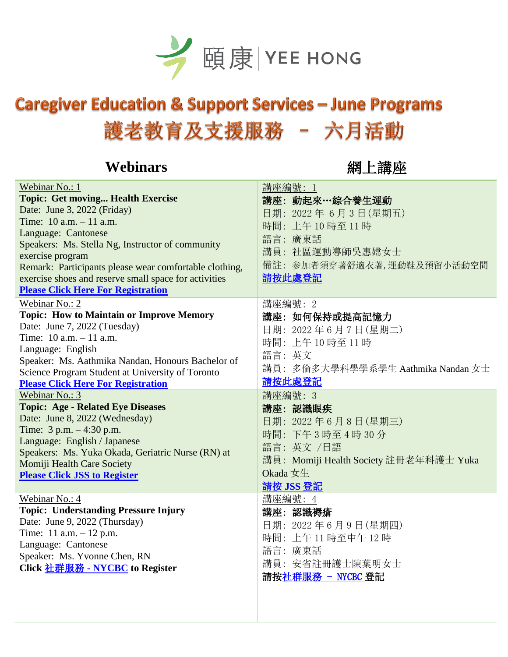

# **Caregiver Education & Support Services - June Programs** 護老教育及支援服務 - 六月活動

## Webinars **Manual Manual Manual Manual Manual 網上講座**

| Webinar No.: 1                                         | 講座編號: 1                                |
|--------------------------------------------------------|----------------------------------------|
| <b>Topic: Get moving Health Exercise</b>               | 講座: 動起來…綜合養生運動                         |
| Date: June 3, 2022 (Friday)                            | 日期: 2022年6月3日(星期五)                     |
| Time: $10 a.m. - 11 a.m.$                              | 時間: 上午10時至11時                          |
| Language: Cantonese                                    | 語言: 廣東話                                |
| Speakers: Ms. Stella Ng, Instructor of community       |                                        |
| exercise program                                       | 講員: 社區運動導師吳惠嫦女士                        |
| Remark: Participants please wear comfortable clothing, | 備註: 参加者須穿著舒適衣著,運動鞋及預留小活動空間             |
| exercise shoes and reserve small space for activities  | 請按此處登記                                 |
| <b>Please Click Here For Registration</b>              |                                        |
| Webinar No.: 2                                         | 講座編號: 2                                |
| <b>Topic: How to Maintain or Improve Memory</b>        | 講座: 如何保持或提高記憶力                         |
| Date: June 7, 2022 (Tuesday)                           | 日期: 2022年6月7日(星期二)                     |
| Time: $10 a.m. - 11 a.m.$                              | 時間: 上午10時至11時                          |
| Language: English                                      | 語言:英文                                  |
| Speaker: Ms. Aathmika Nandan, Honours Bachelor of      | 講員: 多倫多大學科學學系學生 Aathmika Nandan 女士     |
| Science Program Student at University of Toronto       |                                        |
| <b>Please Click Here For Registration</b>              | 請按此處登記                                 |
| Webinar No.: 3                                         | 講座編號: 3                                |
| <b>Topic: Age - Related Eye Diseases</b>               | 講座:認識眼疾                                |
| Date: June 8, 2022 (Wednesday)                         | 日期: 2022年6月8日(星期三)                     |
| Time: $3 p.m. - 4:30 p.m.$                             | 時間: 下午3時至4時30分                         |
| Language: English / Japanese                           | 語言: 英文 /日語                             |
| Speakers: Ms. Yuka Okada, Geriatric Nurse (RN) at      | 講員: Momiji Health Society 註冊老年科護士 Yuka |
| Momiji Health Care Society                             | Okada 女生                               |
| <b>Please Click JSS to Register</b>                    | 請按 JSS 登記                              |
| Webinar No.: 4                                         | 講座編號: 4                                |
| <b>Topic: Understanding Pressure Injury</b>            | 講座:認識褥瘡                                |
| Date: June 9, 2022 (Thursday)                          |                                        |
| Time: $11$ a.m. $-12$ p.m.                             | 日期: 2022年6月9日(星期四)                     |
| Language: Cantonese                                    | 時間:上午11時至中午12時                         |
| Speaker: Ms. Yvonne Chen, RN                           | 語言: 廣東話                                |
| Click 社群服務 - NYCBC to Register                         | 講員: 安省註冊護士陳葉明女士                        |
|                                                        | 請按 <u>社群服務 - NYCBC</u> 登記              |
|                                                        |                                        |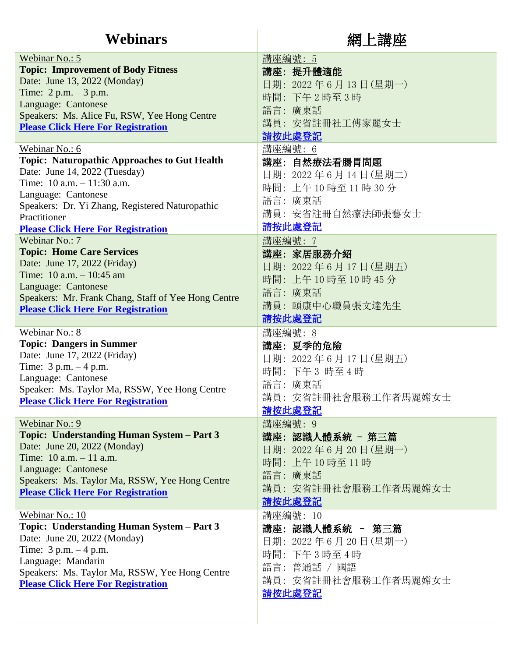| Webinars                                                                                                                                                                                                                                                                      | 網上講座                                                                                                          |
|-------------------------------------------------------------------------------------------------------------------------------------------------------------------------------------------------------------------------------------------------------------------------------|---------------------------------------------------------------------------------------------------------------|
| Webinar No.: 5                                                                                                                                                                                                                                                                | 講座編號: 5                                                                                                       |
| <b>Topic: Improvement of Body Fitness</b>                                                                                                                                                                                                                                     | 講座: 提升體適能                                                                                                     |
| Date: June 13, 2022 (Monday)                                                                                                                                                                                                                                                  | 日期: 2022年6月13日(星期一)                                                                                           |
| Time: $2 p.m. - 3 p.m.$                                                                                                                                                                                                                                                       | 時間: 下午2時至3時                                                                                                   |
| Language: Cantonese                                                                                                                                                                                                                                                           | 語言: 廣東話                                                                                                       |
| Speakers: Ms. Alice Fu, RSW, Yee Hong Centre                                                                                                                                                                                                                                  | 講員: 安省註冊社工傅家麗女士                                                                                               |
| <b>Please Click Here For Registration</b>                                                                                                                                                                                                                                     | 請按此處登記                                                                                                        |
| Webinar No.: 6<br><b>Topic: Naturopathic Approaches to Gut Health</b><br>Date: June 14, 2022 (Tuesday)<br>Time: $10 a.m. - 11:30 a.m.$<br>Language: Cantonese<br>Speakers: Dr. Yi Zhang, Registered Naturopathic<br>Practitioner<br><b>Please Click Here For Registration</b> | 講座編號: 6<br>講座: 自然療法看腸胃問題<br>日期: 2022年6月14日(星期二)<br>時間: 上午10時至11時30分<br>語言: 廣東話<br>講員: 安省註冊自然療法師張藝女士<br>請按此處登記 |
| Webinar No.: 7                                                                                                                                                                                                                                                                | 講座編號: 7                                                                                                       |
| <b>Topic: Home Care Services</b>                                                                                                                                                                                                                                              | 講座: 家居服務介紹                                                                                                    |
| Date: June 17, 2022 (Friday)                                                                                                                                                                                                                                                  | 日期: 2022年6月17日(星期五)                                                                                           |
| Time: $10 a.m. - 10:45 am$                                                                                                                                                                                                                                                    | 時間: 上午10時至10時45分                                                                                              |
| Language: Cantonese                                                                                                                                                                                                                                                           | 語言: 廣東話                                                                                                       |
| Speakers: Mr. Frank Chang, Staff of Yee Hong Centre                                                                                                                                                                                                                           | 講員: 頤康中心職員張文達先生                                                                                               |
| <b>Please Click Here For Registration</b>                                                                                                                                                                                                                                     | 請按此處登記                                                                                                        |
| Webinar No.: 8                                                                                                                                                                                                                                                                | 講座編號: 8                                                                                                       |
| <b>Topic: Dangers in Summer</b>                                                                                                                                                                                                                                               | 講座: 夏季的危險                                                                                                     |
| Date: June 17, 2022 (Friday)                                                                                                                                                                                                                                                  | 日期: 2022年6月17日(星期五)                                                                                           |
| Time: $3 p.m. - 4 p.m.$                                                                                                                                                                                                                                                       | 時間: 下午3 時至4時                                                                                                  |
| Language: Cantonese                                                                                                                                                                                                                                                           | 語言: 廣東話                                                                                                       |
| Speaker: Ms. Taylor Ma, RSSW, Yee Hong Centre                                                                                                                                                                                                                                 | 講員:安省註冊社會服務工作者馬麗嫦女士                                                                                           |
| <b>Please Click Here For Registration</b>                                                                                                                                                                                                                                     | 請按此處登記                                                                                                        |
| Webinar No.: 9                                                                                                                                                                                                                                                                | 講座編號: 9                                                                                                       |
| Topic: Understanding Human System - Part 3                                                                                                                                                                                                                                    | 講座:認識人體系統 - 第三篇                                                                                               |
| Date: June 20, 2022 (Monday)                                                                                                                                                                                                                                                  | 日期: 2022年6月20日(星期一)                                                                                           |
| Time: $10 a.m. - 11 a.m.$                                                                                                                                                                                                                                                     | 時間: 上午10時至11時                                                                                                 |
| Language: Cantonese                                                                                                                                                                                                                                                           | 語言: 廣東話                                                                                                       |
| Speakers: Ms. Taylor Ma, RSSW, Yee Hong Centre                                                                                                                                                                                                                                | 講員: 安省註冊社會服務工作者馬麗嫦女士                                                                                          |
| <b>Please Click Here For Registration</b>                                                                                                                                                                                                                                     | 請按此處登記                                                                                                        |
| Webinar No.: 10                                                                                                                                                                                                                                                               | 講座編號: 10                                                                                                      |
| Topic: Understanding Human System - Part 3                                                                                                                                                                                                                                    | 講座: 認識人體系統 ‐ 第三篇                                                                                              |
| Date: June 20, 2022 (Monday)                                                                                                                                                                                                                                                  | 日期: 2022年6月20日(星期一)                                                                                           |
| Time: $3 p.m. - 4 p.m.$                                                                                                                                                                                                                                                       | 時間: 下午3時至4時                                                                                                   |
| Language: Mandarin                                                                                                                                                                                                                                                            | 語言: 普通話 / 國語                                                                                                  |
| Speakers: Ms. Taylor Ma, RSSW, Yee Hong Centre                                                                                                                                                                                                                                | 講員: 安省註冊社會服務工作者馬麗嫦女士                                                                                          |
| <b>Please Click Here For Registration</b>                                                                                                                                                                                                                                     | 請按此處登記                                                                                                        |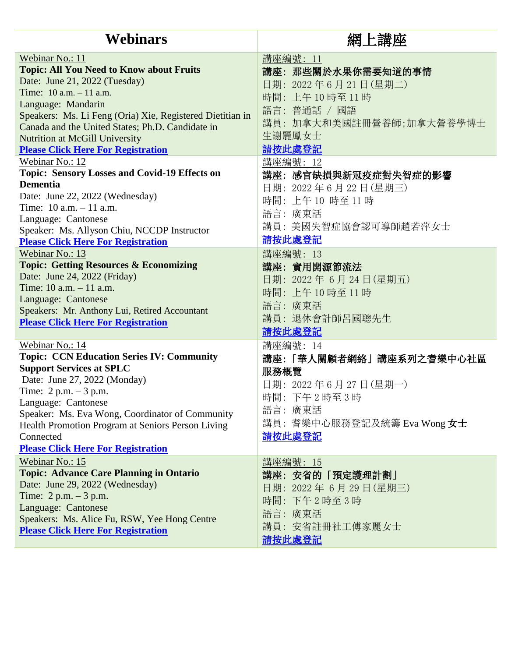| <b>Webinars</b>                                                                                                                                                                                                                                                                                                                                            | 網上講座                                                                                                                                  |
|------------------------------------------------------------------------------------------------------------------------------------------------------------------------------------------------------------------------------------------------------------------------------------------------------------------------------------------------------------|---------------------------------------------------------------------------------------------------------------------------------------|
| Webinar No.: 11<br><b>Topic: All You Need to Know about Fruits</b><br>Date: June 21, 2022 (Tuesday)<br>Time: $10 a.m. - 11 a.m.$<br>Language: Mandarin<br>Speakers: Ms. Li Feng (Oria) Xie, Registered Dietitian in<br>Canada and the United States; Ph.D. Candidate in<br>Nutrition at McGill University<br><b>Please Click Here For Registration</b>     | 講座編號: 11<br>講座:那些關於水果你需要知道的事情<br>日期: 2022年6月21日(星期二)<br>時間: 上午10時至11時<br>語言: 普通話 / 國語<br>講員: 加拿大和美國註冊營養師;加拿大營養學博士<br>生謝麗鳳女士<br>請按此處登記 |
| Webinar No.: 12<br><b>Topic: Sensory Losses and Covid-19 Effects on</b><br><b>Dementia</b><br>Date: June 22, 2022 (Wednesday)<br>Time: $10 a.m. - 11 a.m.$<br>Language: Cantonese<br>Speaker: Ms. Allyson Chiu, NCCDP Instructor<br><b>Please Click Here For Registration</b>                                                                              | 講座編號: 12<br>講座: 感官缺損與新冠疫症對失智症的影響<br>日期: 2022年6月22日(星期三)<br>時間: 上午10時至11時<br>語言: 廣東話<br>講員: 美國失智症協會認可導師趙若萍女士<br>請按此處登記                 |
| Webinar No.: 13<br><b>Topic: Getting Resources &amp; Economizing</b><br>Date: June 24, 2022 (Friday)<br>Time: $10 a.m. - 11 a.m.$<br>Language: Cantonese<br>Speakers: Mr. Anthony Lui, Retired Accountant<br><b>Please Click Here For Registration</b>                                                                                                     | 講座編號: 13<br>講座:實用開源節流法<br>日期: 2022年6月24日(星期五)<br>時間: 上午10時至11時<br>語言: 廣東話<br>講員: 退休會計師呂國聰先生<br>請按此處登記                                 |
| Webinar No.: 14<br><b>Topic: CCN Education Series IV: Community</b><br><b>Support Services at SPLC</b><br>Date: June 27, 2022 (Monday)<br>Time: $2 p.m. - 3 p.m.$<br>Language: Cantonese<br>Speaker: Ms. Eva Wong, Coordinator of Community<br>Health Promotion Program at Seniors Person Living<br>Connected<br><b>Please Click Here For Registration</b> | 講座編號: 14<br>講座:「華人關顧者網絡」講座系列之耆樂中心社區<br>服務概覽<br>日期: 2022年6月27日(星期一)<br>時間: 下午2時至3時<br>語言: 廣東話<br>講員: 耆樂中心服務登記及統籌 Eva Wong 女士<br>請按此處登記 |
| Webinar No.: 15<br><b>Topic: Advance Care Planning in Ontario</b><br>Date: June 29, 2022 (Wednesday)<br>Time: $2 p.m. - 3 p.m.$<br>Language: Cantonese<br>Speakers: Ms. Alice Fu, RSW, Yee Hong Centre<br><b>Please Click Here For Registration</b>                                                                                                        | 講座編號: 15<br>講座: 安省的「預定護理計劃」<br>日期: 2022年6月29日(星期三)<br>時間: 下午2時至3時<br>語言: 廣東話<br>講員: 安省註冊社工傅家麗女士<br><u>請按此處登記</u>                      |